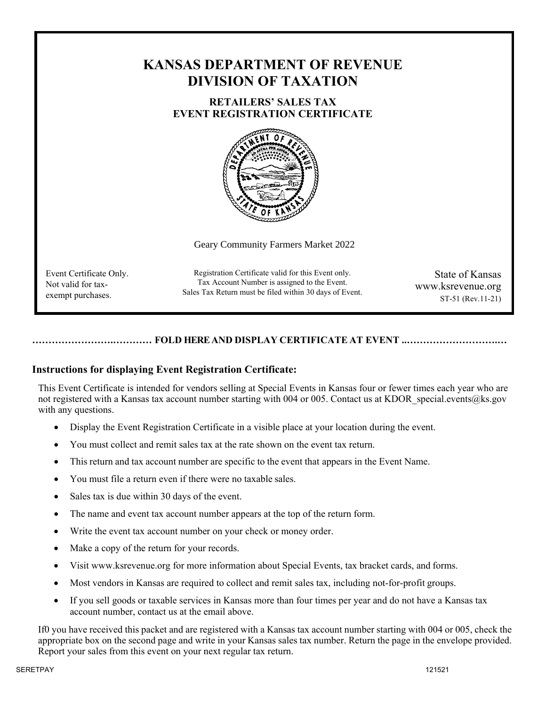# **KANSAS DEPARTMENT OF REVENUE DIVISION OF TAXATION**

## **RETAILERS' SALES TAX EVENT REGISTRATION CERTIFICATE**



Geary Community Farmers Market 2022

Event Certificate Only. Not valid for taxexempt purchases.

Registration Certificate valid for this Event only. Tax Account Number is assigned to the Event. Sales Tax Return must be filed within 30 days of Event.

State of Kansas www.ksrevenue.org ST-51 (Rev.11-21)

## **…………………….………… FOLD HERE AND DISPLAY CERTIFICATE AT EVENT ..……………………….…**

## **Instructions for displaying Event Registration Certificate:**

This Event Certificate is intended for vendors selling at Special Events in Kansas four or fewer times each year who are not registered with a Kansas tax account number starting with 004 or 005. Contact us at KDOR special.events@ks.gov with any questions.

- Display the Event Registration Certificate in a visible place at your location during the event.
- You must collect and remit sales tax at the rate shown on the event tax return.
- This return and tax account number are specific to the event that appears in the Event Name.
- You must file a return even if there were no taxable sales.
- Sales tax is due within 30 days of the event.
- The name and event tax account number appears at the top of the return form.
- Write the event tax account number on your check or money order.
- Make a copy of the return for your records.
- Visit [www.ksrevenue.org f](http://www.ksrevenue.org/)or more information about Special Events, tax bracket cards, and forms.
- Most vendors in Kansas are required to collect and remit sales tax, including not-for-profit groups.
- If you sell goods or taxable services in Kansas more than four times per year and do not have a Kansas tax account number, contact us at the email above.

If0 you have received this packet and are registered with a Kansas tax account number starting with 004 or 005, check the appropriate box on the second page and write in your Kansas sales tax number. Return the page in the envelope provided. Report your sales from this event on your next regular tax return.